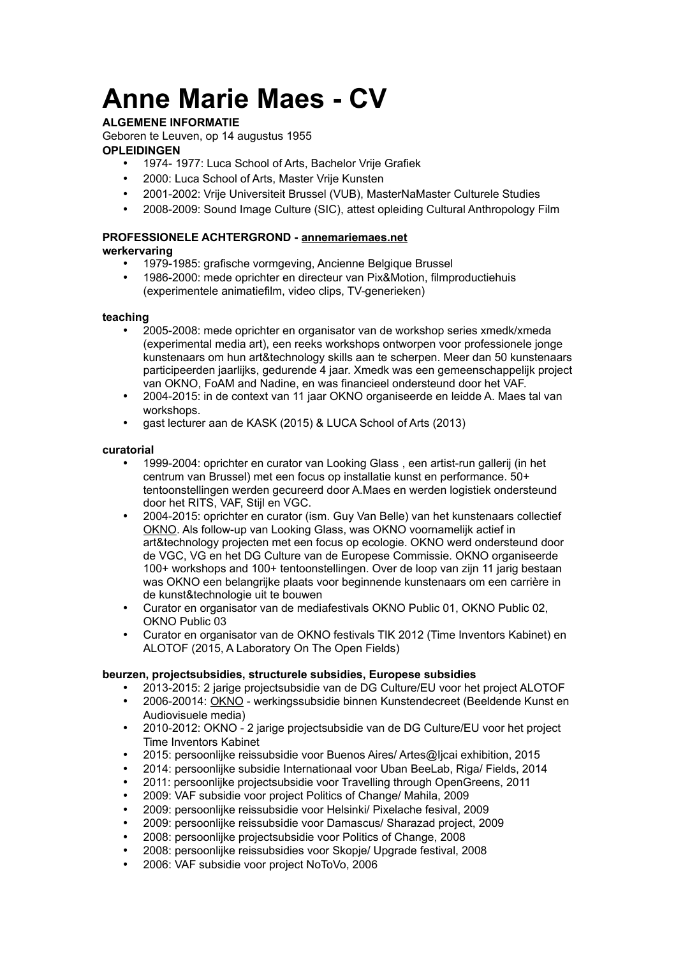# **Anne Marie Maes - CV**

### **ALGEMENE INFORMATIE**

Geboren te Leuven, op 14 augustus 1955

#### **OPLEIDINGEN**

- 1974- 1977: Luca School of Arts, Bachelor Vrije Grafiek
- 2000: Luca School of Arts, Master Vrije Kunsten
- 2001-2002: Vrije Universiteit Brussel (VUB), MasterNaMaster Culturele Studies
- 2008-2009: Sound Image Culture (SIC), attest opleiding Cultural Anthropology Film

# **PROFESSIONELE ACHTERGROND - [annemariemaes.net](http://annemariemaes.net/)**

## **werkervaring**

- 1979-1985: grafische vormgeving, Ancienne Belgique Brussel
- 1986-2000: mede oprichter en directeur van Pix&Motion, filmproductiehuis (experimentele animatiefilm, video clips, TV-generieken)

#### **teaching**

- 2005-2008: mede oprichter en organisator van de workshop series xmedk/xmeda (experimental media art), een reeks workshops ontworpen voor professionele jonge kunstenaars om hun art&technology skills aan te scherpen. Meer dan 50 kunstenaars participeerden jaarlijks, gedurende 4 jaar. Xmedk was een gemeenschappelijk project van OKNO, FoAM and Nadine, en was financieel ondersteund door het VAF.
- 2004-2015: in de context van 11 jaar OKNO organiseerde en leidde A. Maes tal van workshops.
- gast lecturer aan de KASK (2015) & LUCA School of Arts (2013)

#### **curatorial**

- 1999-2004: oprichter en curator van Looking Glass , een artist-run gallerij (in het centrum van Brussel) met een focus op installatie kunst en performance. 50+ tentoonstellingen werden gecureerd door A.Maes en werden logistiek ondersteund door het RITS, VAF, Stijl en VGC.
- 2004-2015: oprichter en curator (ism. Guy Van Belle) van het kunstenaars collectief [OKNO.](http://okno.be/) Als follow-up van Looking Glass, was OKNO voornamelijk actief in art&technology projecten met een focus op ecologie. OKNO werd ondersteund door de VGC, VG en het DG Culture van de Europese Commissie. OKNO organiseerde 100+ workshops and 100+ tentoonstellingen. Over de loop van zijn 11 jarig bestaan was OKNO een belangrijke plaats voor beginnende kunstenaars om een carrière in de kunst&technologie uit te bouwen
- Curator en organisator van de mediafestivals OKNO Public 01, OKNO Public 02, OKNO Public 03
- Curator en organisator van de OKNO festivals TIK 2012 (Time Inventors Kabinet) en ALOTOF (2015, A Laboratory On The Open Fields)

#### **beurzen, projectsubsidies, structurele subsidies, Europese subsidies**

- 2013-2015: 2 jarige projectsubsidie van de DG Culture/EU voor het project ALOTOF
- 2006-20014: [OKNO](http://okno.be/)  werkingssubsidie binnen Kunstendecreet (Beeldende Kunst en Audiovisuele media)
- 2010-2012: OKNO 2 jarige projectsubsidie van de DG Culture/EU voor het project Time Inventors Kabinet
- 2015: persoonlijke reissubsidie voor Buenos Aires/ Artes@Ijcai exhibition, 2015
- 2014: persoonlijke subsidie Internationaal voor Uban BeeLab, Riga/ Fields, 2014
- 2011: persoonlijke projectsubsidie voor Travelling through OpenGreens, 2011
- 2009: VAF subsidie voor project Politics of Change/ Mahila, 2009
- 2009: persoonlijke reissubsidie voor Helsinki/ Pixelache fesival, 2009
- 2009: persoonlijke reissubsidie voor Damascus/ Sharazad project, 2009
- 2008: persoonlijke projectsubsidie voor Politics of Change, 2008
- 2008: persoonlijke reissubsidies voor Skopje/ Upgrade festival, 2008
- 2006: VAF subsidie voor project NoToVo, 2006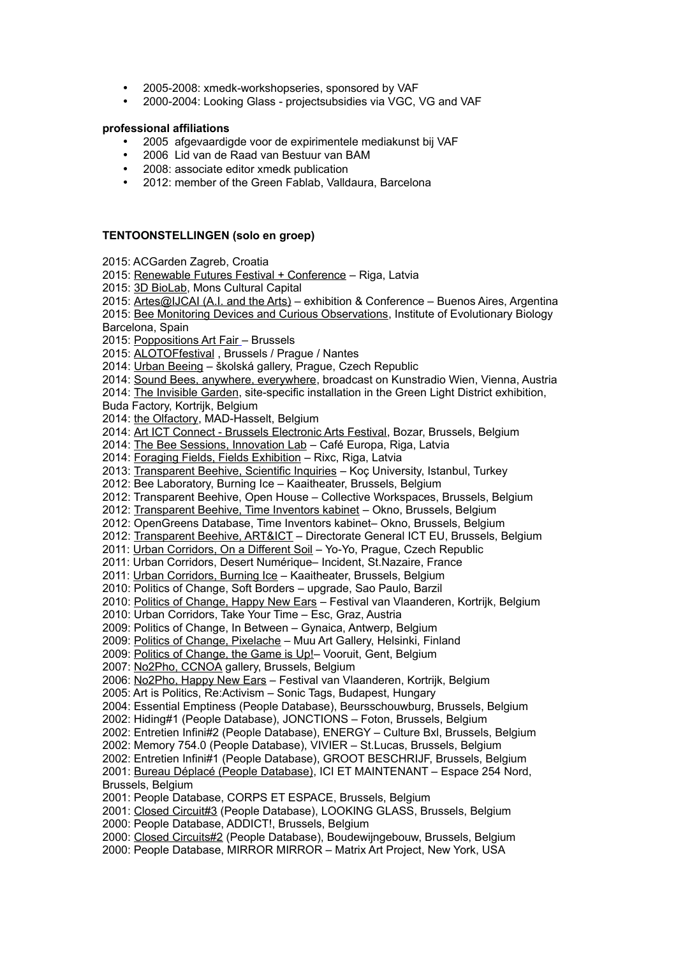- 2005-2008: xmedk-workshopseries, sponsored by VAF
- 2000-2004: Looking Glass projectsubsidies via VGC, VG and VAF

#### **professional affiliations**

- 2005 afgevaardigde voor de expirimentele mediakunst bij VAF
- 2006 Lid van de Raad van Bestuur van BAM
- 2008: associate editor xmedk publication
- 2012: member of the Green Fablab, Valldaura, Barcelona

#### **TENTOONSTELLINGEN (solo en groep)**

- 2015: ACGarden Zagreb, Croatia
- 2015: [Renewable Futures Festival + Conference](http://annemariemaes.net/presentations/bee-laboratory-presentations-2/renewable-futures/)  Riga, Latvia
- 2015: [3D BioLab,](http://annemariemaes.net/presentations/bee-laboratory-presentations-2/bee-material/) Mons Cultural Capital
- 2015: [Artes@IJCAI \(A.I. and the Arts\)](http://annemariemaes.net/presentations/bee-laboratory-presentations-2/artes-ijcai/)  exhibition & Conference Buenos Aires, Argentina

2015: [Bee Monitoring Devices and Curious Observations,](http://annemariemaes.net/presentations/bee-laboratory-presentations-2/bee-monitoring-devices-and-curious-observations/) Institute of Evolutionary Biology Barcelona, Spain

2015: [Poppositions Art Fair](http://annemariemaes.net/presentations/bee-laboratory-presentations-2/poppositions/) – Brussels

2015: [ALOTOFfestival](http://alotof.org/) , Brussels / Prague / Nantes

- 2014: [Urban Beeing](http://skolska28.cz/en/urban-beeing-beekeeping-cities)  školská gallery, Prague, Czech Republic
- 2014: [Sound Bees, anywhere, everywhere,](http://annemariemaes.net/works/bee-laboratory-works/bee-activity-soundwork-on-kunstradio-vienna/) broadcast on Kunstradio Wien, Vienna, Austria

2014: [The Invisible Garden,](http://annemariemaes.net/works/urban-corridors-works/invisible-gardens/) site-specific installation in the Green Light District exhibition,

Buda Factory, Kortrijk, Belgium

2014: [the Olfactory,](http://annemariemaes.net/presentations/bee-laboratory-presentations-2/the-bee-laboratory-at-the-olfactory-exhibition/) MAD-Hasselt, Belgium

2014: [Art ICT Connect - Brussels Electronic Arts Festival,](http://annemariemaes.net/presentations/bee-laboratory-presentations-2/transparent-beehive-presented-at-beaf/) Bozar, Brussels, Belgium

2014: [The Bee Sessions, Innovation Lab](http://annemariemaes.net/presentations/bee-laboratory-presentations-2/the-bee-sessions-exhibition-workshops/) – Café Europa, Riga, Latvia

2014: [Foraging Fields, Fields Exhibition](http://annemariemaes.net/presentations/bee-laboratory-presentations-2/foraging-fields-exhibition/) – Rixc, Riga, Latvia

2013: [Transparent Beehive, Scientific Inquiries](http://annemariemaes.net/presentations/bee-laboratory-presentations-2/scientific-inquiries-exhibition-istanbul/) – Koç University, Istanbul, Turkey

2012: Bee Laboratory, Burning Ice – Kaaitheater, Brussels, Belgium

2012: Transparent Beehive, Open House – Collective Workspaces, Brussels, Belgium

2012: [Transparent Beehive, Time Inventors kabinet](http://annemariemaes.net/presentations/bee-laboratory-presentations-2/the-transparent-beehive-at-tik-festival-brussels/) – Okno, Brussels, Belgium

2012: OpenGreens Database, Time Inventors kabinet– Okno, Brussels, Belgium

2012: [Transparent Beehive, ART&ICT](http://annemariemaes.net/presentations/bee-laboratory-presentations-2/transparent-beehive-presented-at-beaf/) – Directorate General ICT EU, Brussels, Belgium

2011: [Urban Corridors, On a Different Soil](http://annemariemaes.net/works/urban-corridors-works/) - Yo-Yo, Prague, Czech Republic

2011: Urban Corridors, Desert Numérique– Incident, St.Nazaire, France

2011: [Urban Corridors, Burning Ice](http://annemariemaes.net/presentations/urban-corridors-presentations/we-the-gardeners/) – Kaaitheater, Brussels, Belgium

2010: Politics of Change, Soft Borders – upgrade, Sao Paulo, Barzil

2010: [Politics of Change, Happy New Ears](http://annemariemaes.net/projects/politics-of-change-poc/) - Festival van Vlaanderen, Kortrijk, Belgium

2010: Urban Corridors, Take Your Time – Esc, Graz, Austria

2009: Politics of Change, In Between – Gynaica, Antwerp, Belgium

2009: [Politics of Change, Pixelache](http://annemariemaes.net/presentations/politics-of-change-presentations/pixelache-helsinki-signals-from-the-south-new/) – Muu Art Gallery, Helsinki, Finland

2009: [Politics of Change, the Game is Up!–](http://annemariemaes.net/presentations/politics-of-change-presentations/vooruit-gent-how-to-save-the-world-in-10-days/) Vooruit, Gent, Belgium

2007: [No2Pho, CCNOA](http://annemariemaes.net/projects/no2pho/) gallery, Brussels, Belgium

2006: [No2Pho, Happy New Ears](http://annemariemaes.net/projects/no2pho/) – Festival van Vlaanderen, Kortrijk, Belgium

2005: Art is Politics, Re:Activism – Sonic Tags, Budapest, Hungary

2004: Essential Emptiness (People Database), Beursschouwburg, Brussels, Belgium

2002: Hiding#1 (People Database), JONCTIONS – Foton, Brussels, Belgium

2002: Entretien Infini#2 (People Database), ENERGY – Culture Bxl, Brussels, Belgium

2002: Memory 754.0 (People Database), VIVIER – St.Lucas, Brussels, Belgium

2002: Entretien Infini#1 (People Database), GROOT BESCHRIJF, Brussels, Belgium

2001: [Bureau Déplacé \(People Database\),](http://annemariemaes.net/projects/peopledatabase/) ICI ET MAINTENANT – Espace 254 Nord, Brussels, Belgium

2001: People Database, CORPS ET ESPACE, Brussels, Belgium

2001: [Closed Circuit#3](http://annemariemaes.net/works/older-work-works/closed-circuit3/) (People Database), LOOKING GLASS, Brussels, Belgium

2000: People Database, ADDICT!, Brussels, Belgium

2000: [Closed Circuits#2](http://annemariemaes.net/works/older-work-works/closed-circuit2/) (People Database), Boudewijngebouw, Brussels, Belgium

2000: People Database, MIRROR MIRROR – Matrix Art Project, New York, USA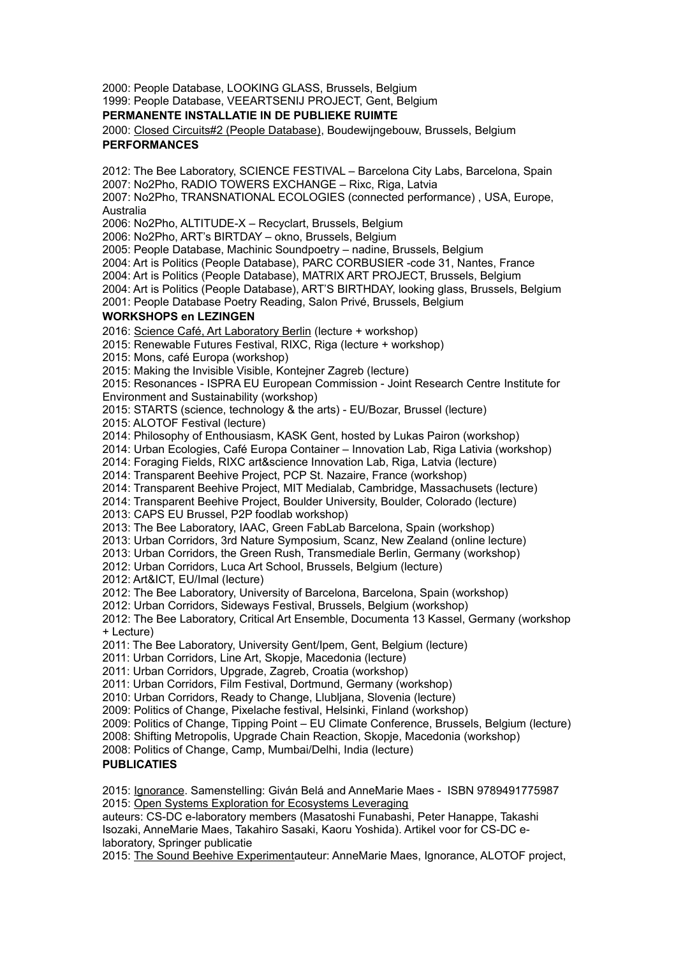2000: People Database, LOOKING GLASS, Brussels, Belgium

1999: People Database, VEEARTSENIJ PROJECT, Gent, Belgium

#### **PERMANENTE INSTALLATIE IN DE PUBLIEKE RUIMTE**

2000: [Closed Circuits#2 \(People Database\),](http://annemariemaes.net/works/older-work-works/closed-circuit2/) Boudewijngebouw, Brussels, Belgium **PERFORMANCES**

2012: The Bee Laboratory, SCIENCE FESTIVAL – Barcelona City Labs, Barcelona, Spain 2007: No2Pho, RADIO TOWERS EXCHANGE – Rixc, Riga, Latvia

2007: No2Pho, TRANSNATIONAL ECOLOGIES (connected performance) , USA, Europe, Australia

2006: No2Pho, ALTITUDE-X – Recyclart, Brussels, Belgium

2006: No2Pho, ART's BIRTDAY – okno, Brussels, Belgium

2005: People Database, Machinic Soundpoetry – nadine, Brussels, Belgium

2004: Art is Politics (People Database), PARC CORBUSIER -code 31, Nantes, France

2004: Art is Politics (People Database), MATRIX ART PROJECT, Brussels, Belgium

2004: Art is Politics (People Database), ART'S BIRTHDAY, looking glass, Brussels, Belgium

2001: People Database Poetry Reading, Salon Privé, Brussels, Belgium

#### **WORKSHOPS en LEZINGEN**

2016: [Science Café, Art Laboratory Berlin](http://artlaboratory-berlin.org/home.htm) (lecture + workshop)

2015: Renewable Futures Festival, RIXC, Riga (lecture + workshop)

2015: Mons, café Europa (workshop)

2015: Making the Invisible Visible, Kontejner Zagreb (lecture)

2015: Resonances - ISPRA EU European Commission - Joint Research Centre Institute for Environment and Sustainability (workshop)

2015: STARTS (science, technology & the arts) - EU/Bozar, Brussel (lecture)

2015: ALOTOF Festival (lecture)

2014: Philosophy of Enthousiasm, KASK Gent, hosted by Lukas Pairon (workshop)

2014: Urban Ecologies, Café Europa Container – Innovation Lab, Riga Lativia (workshop)

2014: Foraging Fields, RIXC art&science Innovation Lab, Riga, Latvia (lecture)

2014: Transparent Beehive Project, PCP St. Nazaire, France (workshop)

2014: Transparent Beehive Project, MIT Medialab, Cambridge, Massachusets (lecture)

2014: Transparent Beehive Project, Boulder University, Boulder, Colorado (lecture)

2013: CAPS EU Brussel, P2P foodlab workshop)

2013: The Bee Laboratory, IAAC, Green FabLab Barcelona, Spain (workshop)

2013: Urban Corridors, 3rd Nature Symposium, Scanz, New Zealand (online lecture)

2013: Urban Corridors, the Green Rush, Transmediale Berlin, Germany (workshop)

2012: Urban Corridors, Luca Art School, Brussels, Belgium (lecture)

2012: Art&ICT, EU/Imal (lecture)

2012: The Bee Laboratory, University of Barcelona, Barcelona, Spain (workshop)

2012: Urban Corridors, Sideways Festival, Brussels, Belgium (workshop)

2012: The Bee Laboratory, Critical Art Ensemble, Documenta 13 Kassel, Germany (workshop + Lecture)

2011: The Bee Laboratory, University Gent/Ipem, Gent, Belgium (lecture)

2011: Urban Corridors, Line Art, Skopje, Macedonia (lecture)

2011: Urban Corridors, Upgrade, Zagreb, Croatia (workshop)

2011: Urban Corridors, Film Festival, Dortmund, Germany (workshop)

2010: Urban Corridors, Ready to Change, Llubljana, Slovenia (lecture)

2009: Politics of Change, Pixelache festival, Helsinki, Finland (workshop)

2009: Politics of Change, Tipping Point – EU Climate Conference, Brussels, Belgium (lecture)

2008: Shifting Metropolis, Upgrade Chain Reaction, Skopje, Macedonia (workshop)

2008: Politics of Change, Camp, Mumbai/Delhi, India (lecture)

#### **PUBLICATIES**

2015: [Ignorance.](http://annemariemaes.net/publications/ignorance/) Samenstelling: Giván Belá and AnneMarie Maes - ISBN 9789491775987 2015: [Open Systems Exploration for Ecosystems Leveraging](http://annemariemaes.net/publications/open-systems-exploration-for-ecosystems-leveraging/)

auteurs: CS-DC e-laboratory members (Masatoshi Funabashi, Peter Hanappe, Takashi Isozaki, AnneMarie Maes, Takahiro Sasaki, Kaoru Yoshida). Artikel voor for CS-DC elaboratory, Springer publicatie

2015: [The Sound Beehive Experimenta](http://annemariemaes.net/publications/the-sound-beehive-experiment/)uteur: AnneMarie Maes, Ignorance, ALOTOF project,